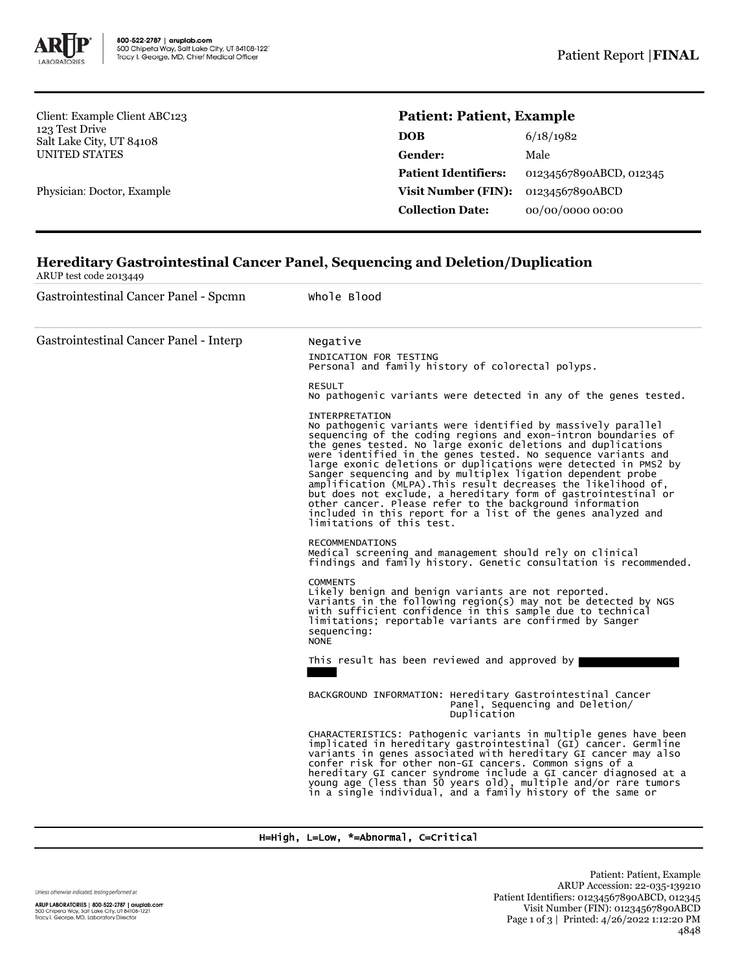

Client: Example Client ABC123 123 Test Drive Salt Lake City, UT 84108 UNITED STATES

Physician: Doctor, Example

## **Patient: Patient, Example**

| DOB                         | 6/18/1982               |  |
|-----------------------------|-------------------------|--|
| <b>Gender:</b>              | Male                    |  |
| <b>Patient Identifiers:</b> | 01234567890ABCD, 012345 |  |
| Visit Number (FIN):         | 01234567890ABCD         |  |
| <b>Collection Date:</b>     | 00/00/0000 00:00        |  |
|                             |                         |  |

## **Hereditary Gastrointestinal Cancer Panel, Sequencing and Deletion/Duplication**

ARUP test code 2013449

Gastrointestinal Cancer Panel - Spcmn Whole Blood Gastrointestinal Cancer Panel - Interp Negative INDICATION FOR TESTING Personal and family history of colorectal polyps. RESULT No pathogenic variants were detected in any of the genes tested. INTERPRETATION No pathogenic variants were identified by massively parallel sequencing of the coding regions and exon-intron boundaries of the genes tested. No large exonic deletions and duplications were identified in the genes tested. No sequence variants and large exonic deletions or duplications were detected in PMS2 by Sanger sequencing and by multiplex ligation dependent probe<br>amplification (MLPA).This result decreases the likelihood of,<br>but does not exclude, a hereditary form of gastrointestinal or<br>other cancer. Please refer to the bac included in this report for a list of the genes analyzed and limitations of this test. RECOMMENDATIONS Medical screening and management should rely on clinical findings and family history. Genetic consultation is recommended. **COMMENTS** Likely benign and benign variants are not reported. Variants in the following region(s) may not be detected by NGS with sufficient confidence in this sample due to technical limitations; reportable variants are confirmed by Sanger sequencing: NONE This result has been reviewed and approved by BACKGROUND INFORMATION: Hereditary Gastrointestinal Cancer Panel, Sequencing and Deletion/ Duplication CHARACTERISTICS: Pathogenic variants in multiple genes have been implicated in hereditary gastrointestinal (GI) cancer. Germline variants in genes associated with hereditary GI cancer may also confer risk for other non-GI cancers. Common signs of a hereditary GI cancer syndrome include a GI cancer diagnosed at a young age (less than 50 years old), multiple and/or rare tumors in a single individual, and a family history of the same or

## H=High, L=Low, \*=Abnormal, C=Critical

Unless otherwise indicated, testing performed at:

ARUP LABORATORIES | 800-522-2787 | aruplab.com 500 Chipeta Way, Salt Lake City, UT 84108-1221<br>Tracy I. George, MD, Laboratory Director

Patient: Patient, Example ARUP Accession: 22-035-139210 Patient Identifiers: 01234567890ABCD, 012345 Visit Number (FIN): 01234567890ABCD Page 1 of 3 | Printed: 4/26/2022 1:12:20 PM 4848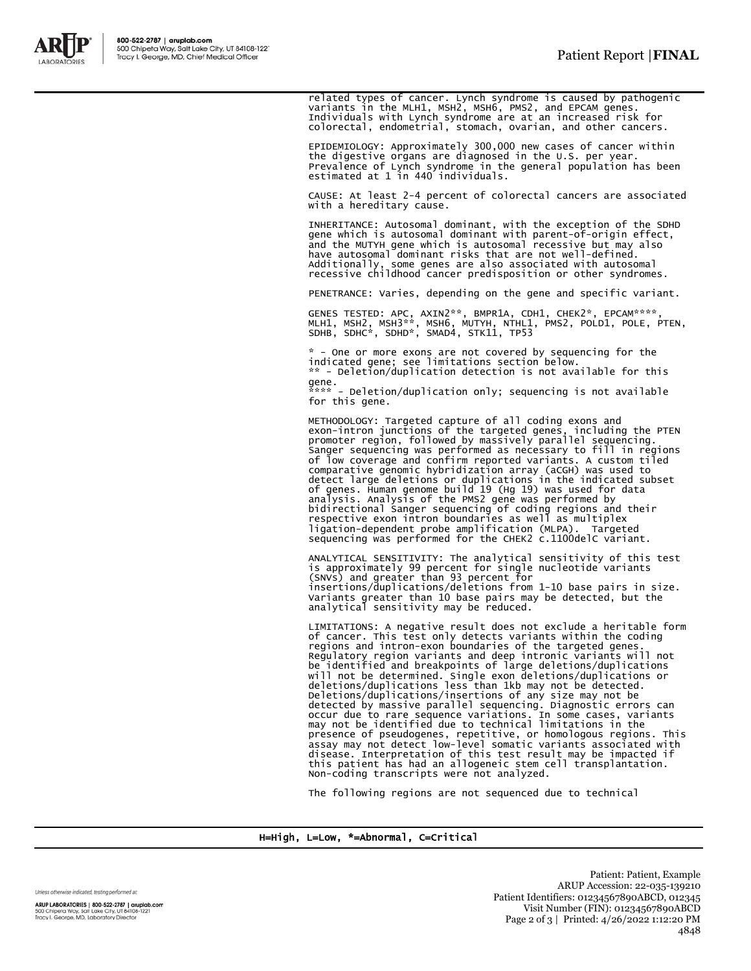

related types of cancer. Lynch syndrome is caused by pathogenic<br>variants in the MLH1, MSH2, MSH6, PMS2, and EPCAM genes.<br>Individuals with Lynch syndrome are at an increased risk for<br>colorectal, endometrial, stomach, ovaria

EPIDEMIOLOGY: Approximately 300,000 new cases of cancer within the digestive organs are diagnosed in the U.S. per year. Prevalence of Lynch syndrome in the general population has been estimated at 1 in 440 individuals.

CAUSE: At least 2-4 percent of colorectal cancers are associated with a hereditary cause.

INHERITANCE: Autosomal dominant, with the exception of the SDHD gene which is autosomal dominant with parent-of-origin effect, and the MUTYH gene which is autosomal recessive but may also have autosomal dominant risks that are not well-defined. Additionally, some genes are also associated with autosomal recessive childhood cancer predisposition or other syndromes.

PENETRANCE: Varies, depending on the gene and specific variant.

GENES TESTED: APC, AXIN2\*\*, BMPR1A, CDH1, CHEK2\*, EPCAM\*\*\*\*,<br>MLH1, MSH2, MSH3\*\*, MSH6, MUTYH, NTHL1, PMS2, POLD1, POLE, PTEN,<br>SDHB, SDHC\*, SDHD\*, SMAD4, STK11, TP53

\* - One or more exons are not covered by sequencing for the indicated gene; see limitations section below. \*\* - Deletion/duplication detection is not available for this gene.

\*\*\*\* - Deletion/duplication only; sequencing is not available for this gene.

METHODOLOGY: Targeted capture of all coding exons and<br>exon-intron junctions of the targeted genes, including the PTEN<br>promoter region, followed by massively parallel sequencing.<br>Sanger sequencing was performed as necessary of low coverage and confirm reported variants. A custom tiled<br>comparative genomic hybridization array (aCGH) was used to<br>detect large deletions or duplications in the indicated subset<br>of genes. Human genome build 19 (Hg 19

ANALYTICAL SENSITIVITY: The analytical sensitivity of this test<br>is approximately 99 percent for single nucleotide variants<br>(SNVs) and greater than 93 percent for<br>insertions/duplications/deletions from 1-10 base pairs in si analytical sensitivity may be reduced.

LIMITATIONS: A negative result does not exclude a heritable form of cancer. This test only detects variants within the coding regions and intron-exon boundaries of the targeted genes. Regulatory region variants and deep intronic variants will not be identified and breakpoints of large deletions/duplications will not be determined. Single exon deletions/duplications or deletions/duplications less than 1kb may not be detected. Deletions/duplications/insertions of any size may not be detected by massive parallel sequencing. Diagnostic errors can<br>occur due to rare sequence variations. In some cases, variants<br>may not be identified due to technical limitations in the<br>presence of pseudogenes, repetitive, o Non-coding transcripts were not analyzed.

The following regions are not sequenced due to technical

H=High, L=Low, \*=Abnormal, C=Critical

Unless otherwise indicated, testing performed at: